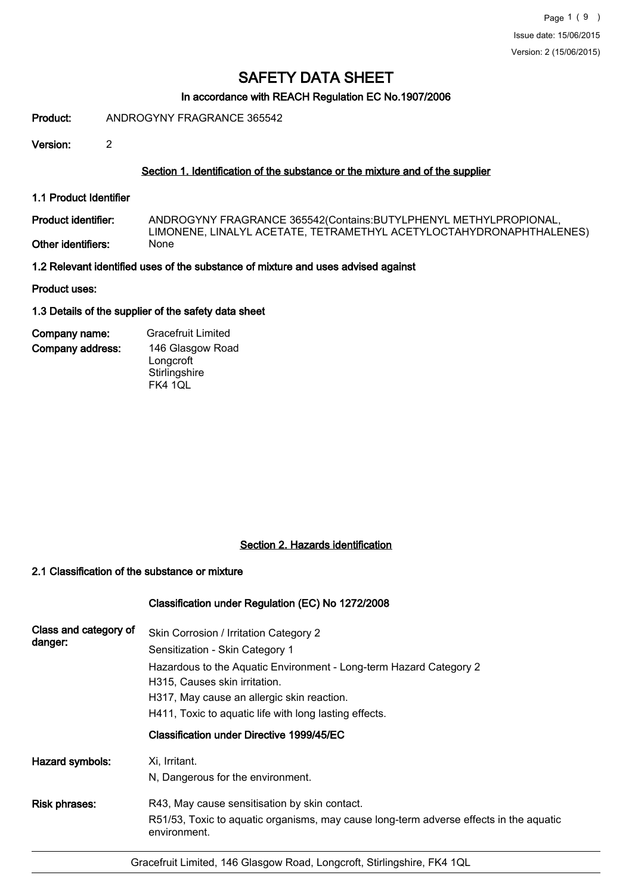### In accordance with REACH Regulation EC No.1907/2006

Product: ANDROGYNY FRAGRANCE 365542

Version: 2

### Section 1. Identification of the substance or the mixture and of the supplier

1.1 Product Identifier

ANDROGYNY FRAGRANCE 365542(Contains:BUTYLPHENYL METHYLPROPIONAL, LIMONENE, LINALYL ACETATE, TETRAMETHYL ACETYLOCTAHYDRONAPHTHALENES)<br>None Product identifier: Other identifiers:

1.2 Relevant identified uses of the substance of mixture and uses advised against

Product uses:

1.3 Details of the supplier of the safety data sheet

Company address: Company name: Gracefruit Limited 146 Glasgow Road Longcroft **Stirlingshire** FK4 1QL

### Section 2. Hazards identification

### 2.1 Classification of the substance or mixture

### Classification under Regulation (EC) No 1272/2008

| Skin Corrosion / Irritation Category 2                                                                 |
|--------------------------------------------------------------------------------------------------------|
|                                                                                                        |
| Sensitization - Skin Category 1                                                                        |
| Hazardous to the Aquatic Environment - Long-term Hazard Category 2                                     |
| H315, Causes skin irritation.                                                                          |
| H317, May cause an allergic skin reaction.                                                             |
| H411, Toxic to aquatic life with long lasting effects.                                                 |
| Classification under Directive 1999/45/EC                                                              |
| Xi, Irritant.                                                                                          |
| N, Dangerous for the environment.                                                                      |
| R43, May cause sensitisation by skin contact.                                                          |
| R51/53, Toxic to aquatic organisms, may cause long-term adverse effects in the aquatic<br>environment. |
|                                                                                                        |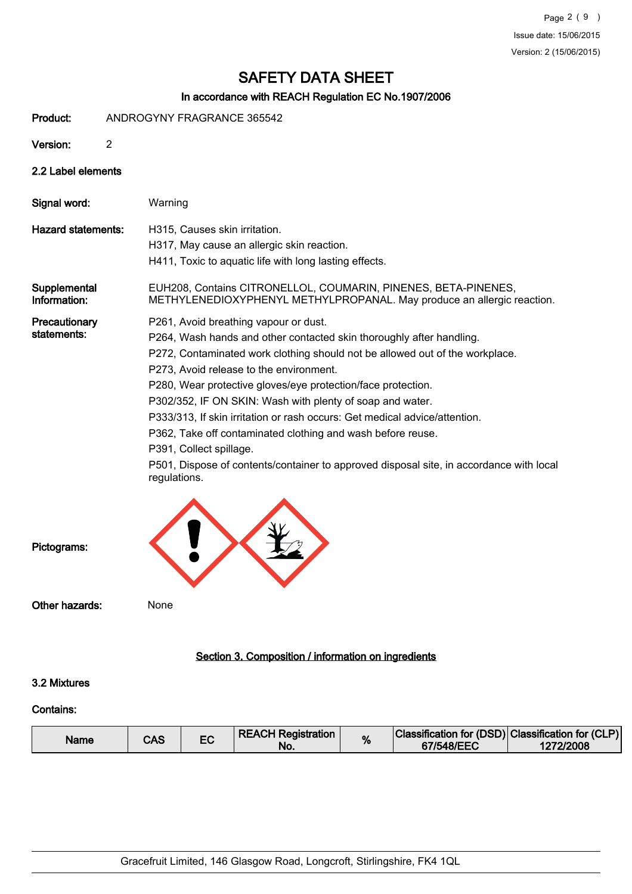## In accordance with REACH Regulation EC No.1907/2006

Product: ANDROGYNY FRAGRANCE 365542

Version: 2

## 2.2 Label elements

| Signal word:                 | Warning                                                                                                                                                                                                                                                                                                                                                                                                                                                                                                                                                                                                                                                  |
|------------------------------|----------------------------------------------------------------------------------------------------------------------------------------------------------------------------------------------------------------------------------------------------------------------------------------------------------------------------------------------------------------------------------------------------------------------------------------------------------------------------------------------------------------------------------------------------------------------------------------------------------------------------------------------------------|
| Hazard statements:           | H315, Causes skin irritation.<br>H317, May cause an allergic skin reaction.<br>H411, Toxic to aquatic life with long lasting effects.                                                                                                                                                                                                                                                                                                                                                                                                                                                                                                                    |
| Supplemental<br>Information: | EUH208, Contains CITRONELLOL, COUMARIN, PINENES, BETA-PINENES,<br>METHYLENEDIOXYPHENYL METHYLPROPANAL. May produce an allergic reaction.                                                                                                                                                                                                                                                                                                                                                                                                                                                                                                                 |
| Precautionary<br>statements: | P261, Avoid breathing vapour or dust.<br>P264, Wash hands and other contacted skin thoroughly after handling.<br>P272, Contaminated work clothing should not be allowed out of the workplace.<br>P273, Avoid release to the environment.<br>P280, Wear protective gloves/eye protection/face protection.<br>P302/352, IF ON SKIN: Wash with plenty of soap and water.<br>P333/313, If skin irritation or rash occurs: Get medical advice/attention.<br>P362, Take off contaminated clothing and wash before reuse.<br>P391, Collect spillage.<br>P501, Dispose of contents/container to approved disposal site, in accordance with local<br>regulations. |



## Section 3. Composition / information on ingredients

### 3.2 Mixtures

## Contains:

| Name | CAS |  | <b>REACH Registration</b><br>No | % | Classification for (DSD) Classification for (CLP)<br>67/548/EEC | 1272/2008 |
|------|-----|--|---------------------------------|---|-----------------------------------------------------------------|-----------|
|------|-----|--|---------------------------------|---|-----------------------------------------------------------------|-----------|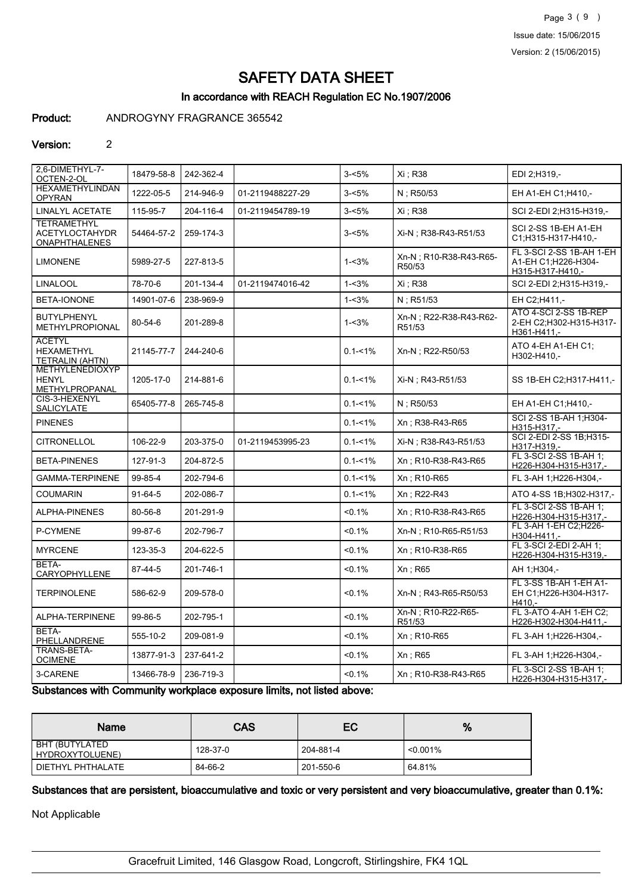Page 3 ( 9 ) Issue date: 15/06/2015 Version: 2 (15/06/2015)

# SAFETY DATA SHEET

## In accordance with REACH Regulation EC No.1907/2006

### Product: ANDROGYNY FRAGRANCE 365542

### Version: 2

| 2,6-DIMETHYL-7-<br>OCTEN-2-OL                                       | 18479-58-8    | 242-362-4 |                  | $3 - 5%$    | Xi : R38                          | EDI 2;H319,-                                                        |
|---------------------------------------------------------------------|---------------|-----------|------------------|-------------|-----------------------------------|---------------------------------------------------------------------|
| <b>HEXAMETHYLINDAN</b><br><b>OPYRAN</b>                             | 1222-05-5     | 214-946-9 | 01-2119488227-29 | $3 - 5%$    | N: R50/53                         | EH A1-EH C1; H410,-                                                 |
| <b>LINALYL ACETATE</b>                                              | 115-95-7      | 204-116-4 | 01-2119454789-19 | $3 - 5%$    | Xi : R38                          | SCI 2-EDI 2:H315-H319,-                                             |
| <b>TETRAMETHYL</b><br><b>ACETYLOCTAHYDR</b><br><b>ONAPHTHALENES</b> | 54464-57-2    | 259-174-3 |                  | $3 - 5%$    | Xi-N ; R38-R43-R51/53             | SCI 2-SS 1B-EH A1-EH<br>C1;H315-H317-H410,-                         |
| <b>LIMONENE</b>                                                     | 5989-27-5     | 227-813-5 |                  | $1 - 3%$    | Xn-N : R10-R38-R43-R65-<br>R50/53 | FL 3-SCI 2-SS 1B-AH 1-EH<br>A1-EH C1:H226-H304-<br>H315-H317-H410,- |
| <b>LINALOOL</b>                                                     | 78-70-6       | 201-134-4 | 01-2119474016-42 | $1 - 3%$    | Xi : R38                          | SCI 2-EDI 2:H315-H319,-                                             |
| BETA-IONONE                                                         | 14901-07-6    | 238-969-9 |                  | $1 - 3%$    | $N$ ; R51/53                      | EH C2:H411,-                                                        |
| <b>BUTYLPHENYL</b><br>METHYLPROPIONAL                               | 80-54-6       | 201-289-8 |                  | $1 - 3%$    | Xn-N; R22-R38-R43-R62-<br>R51/53  | ATO 4-SCI 2-SS 1B-REP<br>2-EH C2;H302-H315-H317-<br>H361-H411,-     |
| <b>ACETYL</b><br><b>HEXAMETHYL</b><br>TETRALIN (AHTN)               | 21145-77-7    | 244-240-6 |                  | $0.1 - 1\%$ | Xn-N ; R22-R50/53                 | ATO 4-EH A1-EH C1;<br>H302-H410,-                                   |
| METHYLENEDIOXYP<br><b>HENYL</b><br>METHYLPROPANAL                   | 1205-17-0     | 214-881-6 |                  | $0.1 - 1\%$ | Xi-N; R43-R51/53                  | SS 1B-EH C2;H317-H411,-                                             |
| CIS-3-HEXENYL<br><b>SALICYLATE</b>                                  | 65405-77-8    | 265-745-8 |                  | $0.1 - 1\%$ | $N:$ R50/53                       | EH A1-EH C1: H410,-                                                 |
| <b>PINENES</b>                                                      |               |           |                  | $0.1 - 1\%$ | Xn: R38-R43-R65                   | SCI 2-SS 1B-AH 1;H304-<br>H315-H317,-                               |
| <b>CITRONELLOL</b>                                                  | 106-22-9      | 203-375-0 | 01-2119453995-23 | $0.1 - 1\%$ | Xi-N : R38-R43-R51/53             | SCI 2-EDI 2-SS 1B;H315-<br>H317-H319,-                              |
| <b>BETA-PINENES</b>                                                 | 127-91-3      | 204-872-5 |                  | $0.1 - 1\%$ | Xn: R10-R38-R43-R65               | FL 3-SCI 2-SS 1B-AH 1:<br>H226-H304-H315-H317,-                     |
| <b>GAMMA-TERPINENE</b>                                              | 99-85-4       | 202-794-6 |                  | $0.1 - 1\%$ | Xn : R10-R65                      | FL 3-AH 1; H226-H304,-                                              |
| <b>COUMARIN</b>                                                     | $91-64-5$     | 202-086-7 |                  | $0.1 - 1\%$ | Xn : R22-R43                      | ATO 4-SS 1B:H302-H317.-                                             |
| ALPHA-PINENES                                                       | 80-56-8       | 201-291-9 |                  | < 0.1%      | Xn: R10-R38-R43-R65               | FL 3-SCI 2-SS 1B-AH 1:<br>H226-H304-H315-H317,-                     |
| P-CYMENE                                                            | $99 - 87 - 6$ | 202-796-7 |                  | < 0.1%      | Xn-N: R10-R65-R51/53              | FL 3-AH 1-EH C2;H226-<br>H304-H411,-                                |
| <b>MYRCENE</b>                                                      | 123-35-3      | 204-622-5 |                  | < 0.1%      | Xn: R10-R38-R65                   | FL 3-SCI 2-EDI 2-AH 1:<br>H226-H304-H315-H319,-                     |
| BETA-<br>CARYOPHYLLENE                                              | 87-44-5       | 201-746-1 |                  | < 0.1%      | Xn : R65                          | AH 1;H304,-                                                         |
| <b>TERPINOLENE</b>                                                  | 586-62-9      | 209-578-0 |                  | < 0.1%      | Xn-N : R43-R65-R50/53             | FL 3-SS 1B-AH 1-EH A1-<br>EH C1;H226-H304-H317-<br>H410.-           |
| ALPHA-TERPINENE                                                     | 99-86-5       | 202-795-1 |                  | < 0.1%      | Xn-N ; R10-R22-R65-<br>R51/53     | FL 3-ATO 4-AH 1-EH C2;<br>H226-H302-H304-H411,-                     |
| BETA-<br>PHELLANDRENE                                               | 555-10-2      | 209-081-9 |                  | < 0.1%      | Xn; R10-R65                       | FL 3-AH 1; H226-H304,-                                              |
| TRANS-BETA-<br><b>OCIMENE</b>                                       | 13877-91-3    | 237-641-2 |                  | < 0.1%      | Xn: R65                           | FL 3-AH 1; H226-H304,-                                              |
| 3-CARENE                                                            | 13466-78-9    | 236-719-3 |                  | < 0.1%      | Xn; R10-R38-R43-R65               | FL 3-SCI 2-SS 1B-AH 1;<br>H226-H304-H315-H317,-                     |

Substances with Community workplace exposure limits, not listed above:

| <b>Name</b>                       | CAS      | EC        | %           |
|-----------------------------------|----------|-----------|-------------|
| BHT (BUTYLATED<br>HYDROXYTOLUENE) | 128-37-0 | 204-881-4 | $< 0.001\%$ |
| DIETHYL PHTHALATE                 | 84-66-2  | 201-550-6 | 64.81%      |

Substances that are persistent, bioaccumulative and toxic or very persistent and very bioaccumulative, greater than 0.1%:

Not Applicable

Gracefruit Limited, 146 Glasgow Road, Longcroft, Stirlingshire, FK4 1QL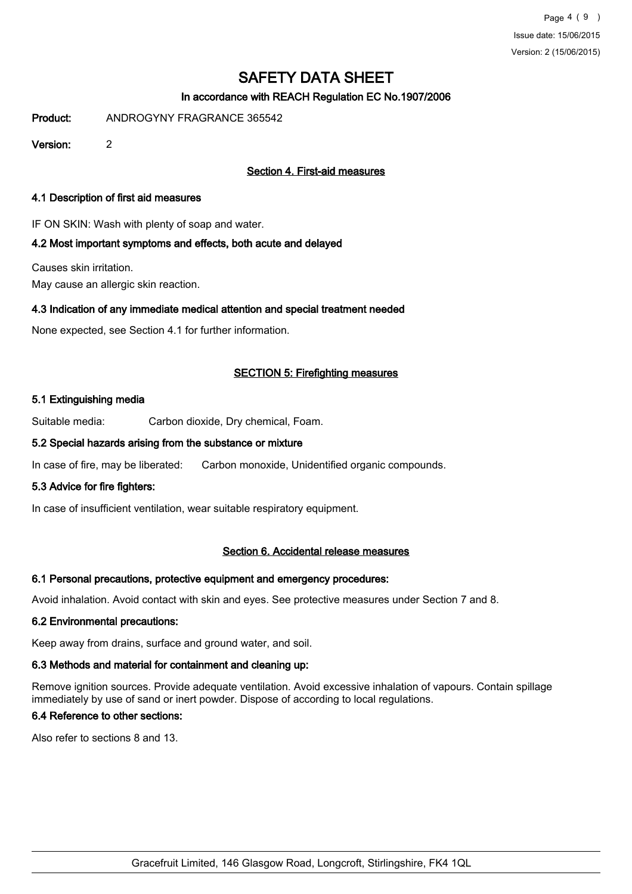## In accordance with REACH Regulation EC No.1907/2006

Product: ANDROGYNY FRAGRANCE 365542

Version: 2

## Section 4. First-aid measures

### 4.1 Description of first aid measures

IF ON SKIN: Wash with plenty of soap and water.

### 4.2 Most important symptoms and effects, both acute and delayed

Causes skin irritation.

May cause an allergic skin reaction.

### 4.3 Indication of any immediate medical attention and special treatment needed

None expected, see Section 4.1 for further information.

### SECTION 5: Firefighting measures

### 5.1 Extinguishing media

Suitable media: Carbon dioxide, Dry chemical, Foam.

### 5.2 Special hazards arising from the substance or mixture

In case of fire, may be liberated: Carbon monoxide, Unidentified organic compounds.

### 5.3 Advice for fire fighters:

In case of insufficient ventilation, wear suitable respiratory equipment.

### Section 6. Accidental release measures

### 6.1 Personal precautions, protective equipment and emergency procedures:

Avoid inhalation. Avoid contact with skin and eyes. See protective measures under Section 7 and 8.

### 6.2 Environmental precautions:

Keep away from drains, surface and ground water, and soil.

### 6.3 Methods and material for containment and cleaning up:

Remove ignition sources. Provide adequate ventilation. Avoid excessive inhalation of vapours. Contain spillage immediately by use of sand or inert powder. Dispose of according to local regulations.

### 6.4 Reference to other sections:

Also refer to sections 8 and 13.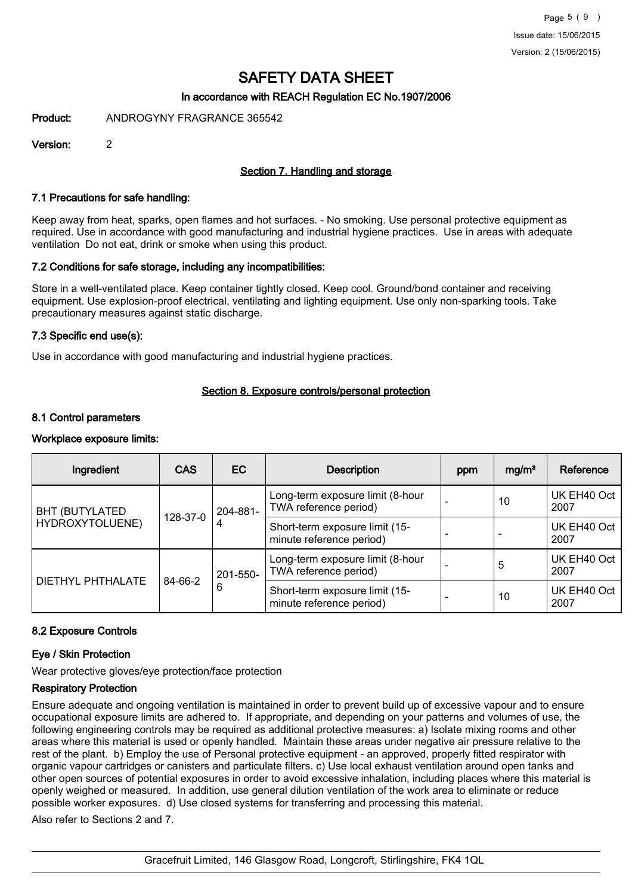### In accordance with REACH Regulation EC No.1907/2006

Product: ANDROGYNY FRAGRANCE 365542

Version: 2

### Section 7. Handling and storage

### 7.1 Precautions for safe handling:

Keep away from heat, sparks, open flames and hot surfaces. - No smoking. Use personal protective equipment as required. Use in accordance with good manufacturing and industrial hygiene practices. Use in areas with adequate ventilation Do not eat, drink or smoke when using this product.

### 7.2 Conditions for safe storage, including any incompatibilities:

Store in a well-ventilated place. Keep container tightly closed. Keep cool. Ground/bond container and receiving equipment. Use explosion-proof electrical, ventilating and lighting equipment. Use only non-sparking tools. Take precautionary measures against static discharge.

#### 7.3 Specific end use(s):

Use in accordance with good manufacturing and industrial hygiene practices.

### Section 8. Exposure controls/personal protection

#### 8.1 Control parameters

#### Workplace exposure limits:

| Ingredient            | <b>CAS</b> | EC            | <b>Description</b>                                         | ppm | mg/m <sup>3</sup> | Reference           |
|-----------------------|------------|---------------|------------------------------------------------------------|-----|-------------------|---------------------|
| <b>BHT (BUTYLATED</b> |            | 204-881-      | Long-term exposure limit (8-hour<br>TWA reference period)  |     | 10                | UK EH40 Oct<br>2007 |
| HYDROXYTOLUENE)       | 128-37-0   | 4             | Short-term exposure limit (15-<br>minute reference period) |     |                   | UK EH40 Oct<br>2007 |
| DIETHYL PHTHALATE     | 84-66-2    | 201-550-<br>6 | Long-term exposure limit (8-hour<br>TWA reference period)  |     | 5                 | UK EH40 Oct<br>2007 |
|                       |            |               | Short-term exposure limit (15-<br>minute reference period) |     | 10                | UK EH40 Oct<br>2007 |

### 8.2 Exposure Controls

### Eye / Skin Protection

Wear protective gloves/eye protection/face protection

### Respiratory Protection

Ensure adequate and ongoing ventilation is maintained in order to prevent build up of excessive vapour and to ensure occupational exposure limits are adhered to. If appropriate, and depending on your patterns and volumes of use, the following engineering controls may be required as additional protective measures: a) Isolate mixing rooms and other areas where this material is used or openly handled. Maintain these areas under negative air pressure relative to the rest of the plant. b) Employ the use of Personal protective equipment - an approved, properly fitted respirator with organic vapour cartridges or canisters and particulate filters. c) Use local exhaust ventilation around open tanks and other open sources of potential exposures in order to avoid excessive inhalation, including places where this material is openly weighed or measured. In addition, use general dilution ventilation of the work area to eliminate or reduce possible worker exposures. d) Use closed systems for transferring and processing this material.

Also refer to Sections 2 and 7.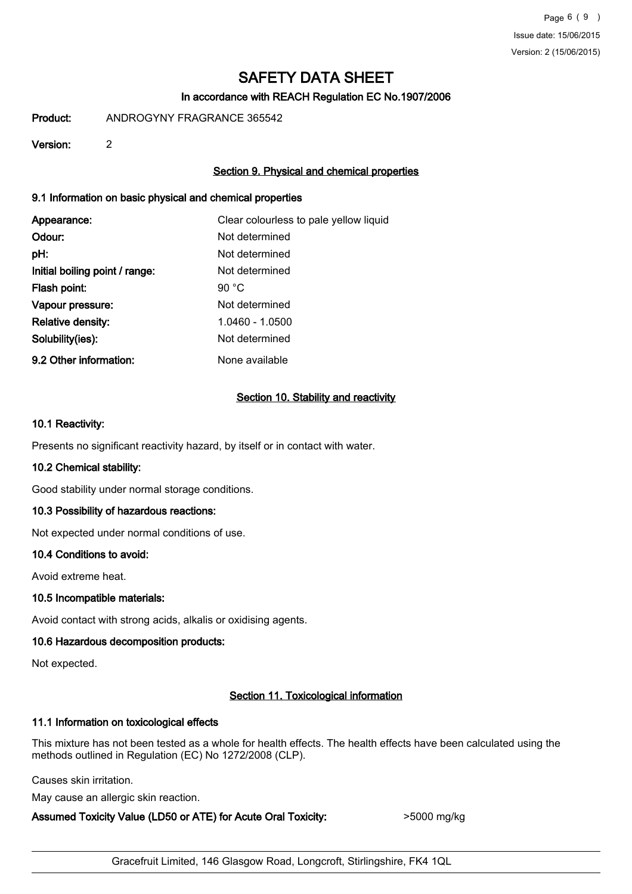## In accordance with REACH Regulation EC No.1907/2006

Product: ANDROGYNY FRAGRANCE 365542

Version: 2

## Section 9. Physical and chemical properties

## 9.1 Information on basic physical and chemical properties

| Appearance:                    | Clear colourless to pale yellow liquid |
|--------------------------------|----------------------------------------|
| Odour:                         | Not determined                         |
| pH:                            | Not determined                         |
| Initial boiling point / range: | Not determined                         |
| Flash point:                   | 90 $^{\circ}$ C                        |
| Vapour pressure:               | Not determined                         |
| <b>Relative density:</b>       | 1.0460 - 1.0500                        |
| Solubility(ies):               | Not determined                         |
| 9.2 Other information:         | None available                         |

## Section 10. Stability and reactivity

### 10.1 Reactivity:

Presents no significant reactivity hazard, by itself or in contact with water.

### 10.2 Chemical stability:

Good stability under normal storage conditions.

### 10.3 Possibility of hazardous reactions:

Not expected under normal conditions of use.

### 10.4 Conditions to avoid:

Avoid extreme heat.

### 10.5 Incompatible materials:

Avoid contact with strong acids, alkalis or oxidising agents.

## 10.6 Hazardous decomposition products:

Not expected.

## Section 11. Toxicological information

### 11.1 Information on toxicological effects

This mixture has not been tested as a whole for health effects. The health effects have been calculated using the methods outlined in Regulation (EC) No 1272/2008 (CLP).

Causes skin irritation.

May cause an allergic skin reaction.

### Assumed Toxicity Value (LD50 or ATE) for Acute Oral Toxicity:  $>$ 5000 mg/kg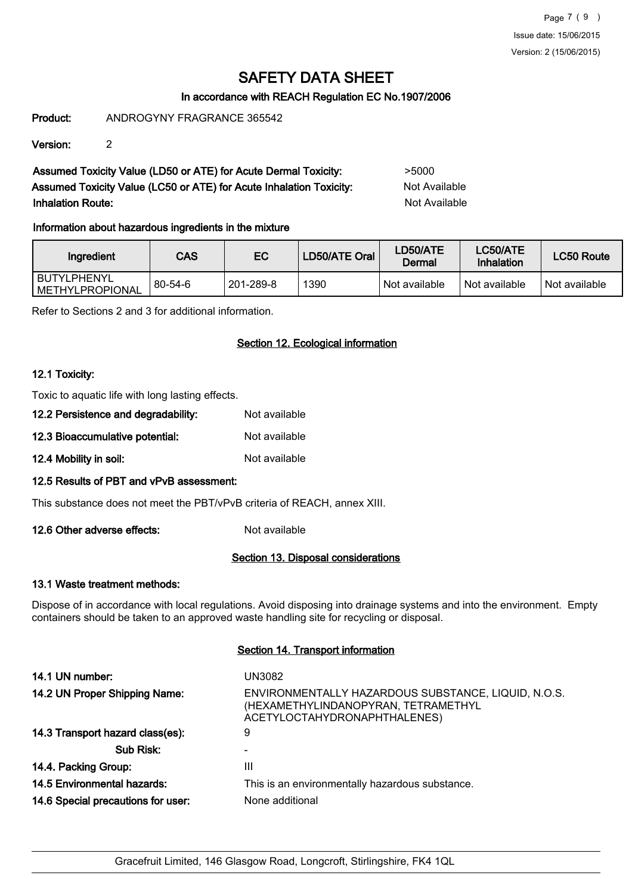## In accordance with REACH Regulation EC No.1907/2006

Product: ANDROGYNY FRAGRANCE 365542

Version: 2

Assumed Toxicity Value (LD50 or ATE) for Acute Dermal Toxicity: >5000 Assumed Toxicity Value (LC50 or ATE) for Acute Inhalation Toxicity: Not Available Inhalation Route: Not Available

## Information about hazardous ingredients in the mixture

| Ingredient                               | CAS           | EC        | LD50/ATE Oral | LD50/ATE<br>Dermal | LC50/ATE<br>Inhalation | LC50 Route    |
|------------------------------------------|---------------|-----------|---------------|--------------------|------------------------|---------------|
| l BUTYLPHENYL<br><b>IMETHYLPROPIONAL</b> | $80 - 54 - 6$ | 201-289-8 | 1390          | Not available      | Not available          | Not available |

Refer to Sections 2 and 3 for additional information.

### Section 12. Ecological information

### 12.1 Toxicity:

Toxic to aquatic life with long lasting effects.

- 12.2 Persistence and degradability: Not available 12.3 Bioaccumulative potential: Not available
- 12.4 Mobility in soil: Not available

### 12.5 Results of PBT and vPvB assessment:

This substance does not meet the PBT/vPvB criteria of REACH, annex XIII.

12.6 Other adverse effects: Not available

### Section 13. Disposal considerations

### 13.1 Waste treatment methods:

Dispose of in accordance with local regulations. Avoid disposing into drainage systems and into the environment. Empty containers should be taken to an approved waste handling site for recycling or disposal.

### Section 14. Transport information

| 14.1 UN number:                    | UN3082                                                                                                                     |
|------------------------------------|----------------------------------------------------------------------------------------------------------------------------|
| 14.2 UN Proper Shipping Name:      | ENVIRONMENTALLY HAZARDOUS SUBSTANCE, LIQUID, N.O.S.<br>(HEXAMETHYLINDANOPYRAN, TETRAMETHYL<br>ACETYLOCTAHYDRONAPHTHALENES) |
| 14.3 Transport hazard class(es):   | 9                                                                                                                          |
| Sub Risk:                          |                                                                                                                            |
| 14.4. Packing Group:               | Ш                                                                                                                          |
| <b>14.5 Environmental hazards:</b> | This is an environmentally hazardous substance.                                                                            |
| 14.6 Special precautions for user: | None additional                                                                                                            |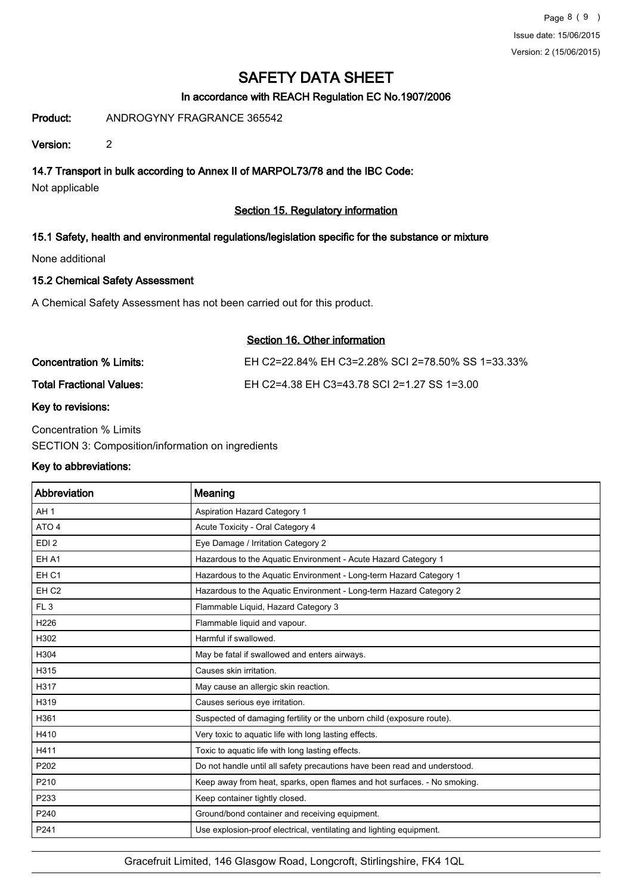## In accordance with REACH Regulation EC No.1907/2006

Product: ANDROGYNY FRAGRANCE 365542

Version: 2

## 14.7 Transport in bulk according to Annex II of MARPOL73/78 and the IBC Code:

Not applicable

## Section 15. Regulatory information

## 15.1 Safety, health and environmental regulations/legislation specific for the substance or mixture

None additional

### 15.2 Chemical Safety Assessment

A Chemical Safety Assessment has not been carried out for this product.

### Section 16. Other information

| Concentration % Limits:         | EH C2=22.84% EH C3=2.28% SCI 2=78.50% SS 1=33.33% |
|---------------------------------|---------------------------------------------------|
| <b>Total Fractional Values:</b> | EH C2=4.38 EH C3=43.78 SCI 2=1.27 SS 1=3.00       |

### Key to revisions:

Concentration % Limits SECTION 3: Composition/information on ingredients

### Key to abbreviations:

| Abbreviation     | Meaning                                                                   |
|------------------|---------------------------------------------------------------------------|
| AH <sub>1</sub>  | Aspiration Hazard Category 1                                              |
| ATO <sub>4</sub> | Acute Toxicity - Oral Category 4                                          |
| EDI <sub>2</sub> | Eye Damage / Irritation Category 2                                        |
| EH A1            | Hazardous to the Aquatic Environment - Acute Hazard Category 1            |
| EH <sub>C1</sub> | Hazardous to the Aquatic Environment - Long-term Hazard Category 1        |
| EH <sub>C2</sub> | Hazardous to the Aquatic Environment - Long-term Hazard Category 2        |
| FL <sub>3</sub>  | Flammable Liquid, Hazard Category 3                                       |
| H226             | Flammable liquid and vapour.                                              |
| H302             | Harmful if swallowed.                                                     |
| H304             | May be fatal if swallowed and enters airways.                             |
| H315             | Causes skin irritation.                                                   |
| H317             | May cause an allergic skin reaction.                                      |
| H319             | Causes serious eye irritation.                                            |
| H361             | Suspected of damaging fertility or the unborn child (exposure route).     |
| H410             | Very toxic to aquatic life with long lasting effects.                     |
| H411             | Toxic to aquatic life with long lasting effects.                          |
| P202             | Do not handle until all safety precautions have been read and understood. |
| P210             | Keep away from heat, sparks, open flames and hot surfaces. - No smoking.  |
| P233             | Keep container tightly closed.                                            |
| P240             | Ground/bond container and receiving equipment.                            |
| P241             | Use explosion-proof electrical, ventilating and lighting equipment.       |